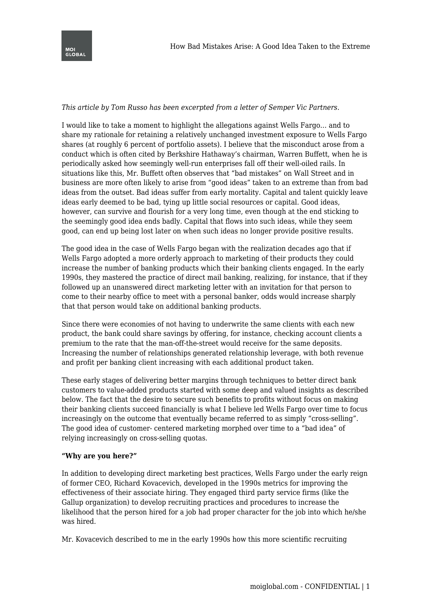

*This article by Tom Russo has been excerpted from a letter of Semper Vic Partners.*

I would like to take a moment to highlight the allegations against Wells Fargo… and to share my rationale for retaining a relatively unchanged investment exposure to Wells Fargo shares (at roughly 6 percent of portfolio assets). I believe that the misconduct arose from a conduct which is often cited by Berkshire Hathaway's chairman, Warren Buffett, when he is periodically asked how seemingly well-run enterprises fall off their well-oiled rails. In situations like this, Mr. Buffett often observes that "bad mistakes" on Wall Street and in business are more often likely to arise from "good ideas" taken to an extreme than from bad ideas from the outset. Bad ideas suffer from early mortality. Capital and talent quickly leave ideas early deemed to be bad, tying up little social resources or capital. Good ideas, however, can survive and flourish for a very long time, even though at the end sticking to the seemingly good idea ends badly. Capital that flows into such ideas, while they seem good, can end up being lost later on when such ideas no longer provide positive results.

The good idea in the case of Wells Fargo began with the realization decades ago that if Wells Fargo adopted a more orderly approach to marketing of their products they could increase the number of banking products which their banking clients engaged. In the early 1990s, they mastered the practice of direct mail banking, realizing, for instance, that if they followed up an unanswered direct marketing letter with an invitation for that person to come to their nearby office to meet with a personal banker, odds would increase sharply that that person would take on additional banking products.

Since there were economies of not having to underwrite the same clients with each new product, the bank could share savings by offering, for instance, checking account clients a premium to the rate that the man-off-the-street would receive for the same deposits. Increasing the number of relationships generated relationship leverage, with both revenue and profit per banking client increasing with each additional product taken.

These early stages of delivering better margins through techniques to better direct bank customers to value-added products started with some deep and valued insights as described below. The fact that the desire to secure such benefits to profits without focus on making their banking clients succeed financially is what I believe led Wells Fargo over time to focus increasingly on the outcome that eventually became referred to as simply "cross-selling". The good idea of customer- centered marketing morphed over time to a "bad idea" of relying increasingly on cross-selling quotas.

## **"Why are you here?"**

In addition to developing direct marketing best practices, Wells Fargo under the early reign of former CEO, Richard Kovacevich, developed in the 1990s metrics for improving the effectiveness of their associate hiring. They engaged third party service firms (like the Gallup organization) to develop recruiting practices and procedures to increase the likelihood that the person hired for a job had proper character for the job into which he/she was hired.

Mr. Kovacevich described to me in the early 1990s how this more scientific recruiting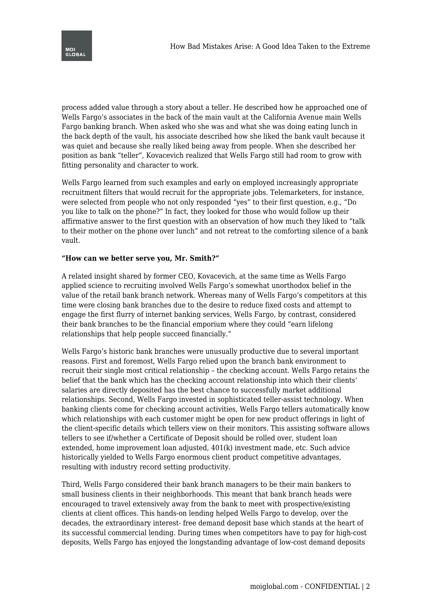

process added value through a story about a teller. He described how he approached one of Wells Fargo's associates in the back of the main vault at the California Avenue main Wells Fargo banking branch. When asked who she was and what she was doing eating lunch in the back depth of the vault, his associate described how she liked the bank vault because it was quiet and because she really liked being away from people. When she described her position as bank "teller", Kovacevich realized that Wells Fargo still had room to grow with fitting personality and character to work.

Wells Fargo learned from such examples and early on employed increasingly appropriate recruitment filters that would recruit for the appropriate jobs. Telemarketers, for instance, were selected from people who not only responded "yes" to their first question, e.g., "Do you like to talk on the phone?" In fact, they looked for those who would follow up their affirmative answer to the first question with an observation of how much they liked to "talk to their mother on the phone over lunch" and not retreat to the comforting silence of a bank vault.

#### **"How can we better serve you, Mr. Smith?"**

A related insight shared by former CEO, Kovacevich, at the same time as Wells Fargo applied science to recruiting involved Wells Fargo's somewhat unorthodox belief in the value of the retail bank branch network. Whereas many of Wells Fargo's competitors at this time were closing bank branches due to the desire to reduce fixed costs and attempt to engage the first flurry of internet banking services, Wells Fargo, by contrast, considered their bank branches to be the financial emporium where they could "earn lifelong relationships that help people succeed financially."

Wells Fargo's historic bank branches were unusually productive due to several important reasons. First and foremost, Wells Fargo relied upon the branch bank environment to recruit their single most critical relationship – the checking account. Wells Fargo retains the belief that the bank which has the checking account relationship into which their clients' salaries are directly deposited has the best chance to successfully market additional relationships. Second, Wells Fargo invested in sophisticated teller-assist technology. When banking clients come for checking account activities, Wells Fargo tellers automatically know which relationships with each customer might be open for new product offerings in light of the client-specific details which tellers view on their monitors. This assisting software allows tellers to see if/whether a Certificate of Deposit should be rolled over, student loan extended, home improvement loan adjusted, 401(k) investment made, etc. Such advice historically yielded to Wells Fargo enormous client product competitive advantages, resulting with industry record setting productivity.

Third, Wells Fargo considered their bank branch managers to be their main bankers to small business clients in their neighborhoods. This meant that bank branch heads were encouraged to travel extensively away from the bank to meet with prospective/existing clients at client offices. This hands-on lending helped Wells Fargo to develop, over the decades, the extraordinary interest- free demand deposit base which stands at the heart of its successful commercial lending. During times when competitors have to pay for high-cost deposits, Wells Fargo has enjoyed the longstanding advantage of low-cost demand deposits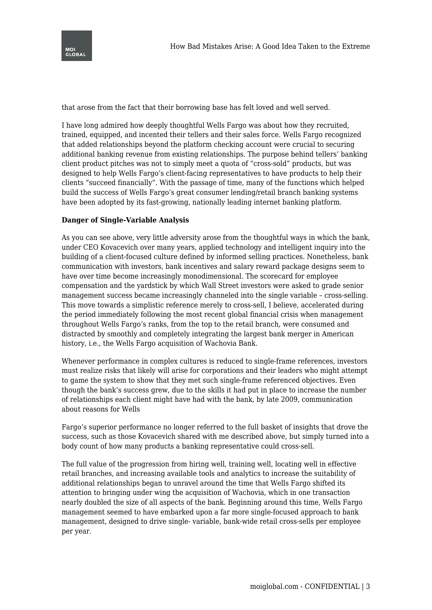



that arose from the fact that their borrowing base has felt loved and well served.

I have long admired how deeply thoughtful Wells Fargo was about how they recruited, trained, equipped, and incented their tellers and their sales force. Wells Fargo recognized that added relationships beyond the platform checking account were crucial to securing additional banking revenue from existing relationships. The purpose behind tellers' banking client product pitches was not to simply meet a quota of "cross-sold" products, but was designed to help Wells Fargo's client-facing representatives to have products to help their clients "succeed financially". With the passage of time, many of the functions which helped build the success of Wells Fargo's great consumer lending/retail branch banking systems have been adopted by its fast-growing, nationally leading internet banking platform.

#### **Danger of Single-Variable Analysis**

As you can see above, very little adversity arose from the thoughtful ways in which the bank, under CEO Kovacevich over many years, applied technology and intelligent inquiry into the building of a client-focused culture defined by informed selling practices. Nonetheless, bank communication with investors, bank incentives and salary reward package designs seem to have over time become increasingly monodimensional. The scorecard for employee compensation and the yardstick by which Wall Street investors were asked to grade senior management success became increasingly channeled into the single variable – cross-selling. This move towards a simplistic reference merely to cross-sell, I believe, accelerated during the period immediately following the most recent global financial crisis when management throughout Wells Fargo's ranks, from the top to the retail branch, were consumed and distracted by smoothly and completely integrating the largest bank merger in American history, i.e., the Wells Fargo acquisition of Wachovia Bank.

Whenever performance in complex cultures is reduced to single-frame references, investors must realize risks that likely will arise for corporations and their leaders who might attempt to game the system to show that they met such single-frame referenced objectives. Even though the bank's success grew, due to the skills it had put in place to increase the number of relationships each client might have had with the bank, by late 2009, communication about reasons for Wells

Fargo's superior performance no longer referred to the full basket of insights that drove the success, such as those Kovacevich shared with me described above, but simply turned into a body count of how many products a banking representative could cross-sell.

The full value of the progression from hiring well, training well, locating well in effective retail branches, and increasing available tools and analytics to increase the suitability of additional relationships began to unravel around the time that Wells Fargo shifted its attention to bringing under wing the acquisition of Wachovia, which in one transaction nearly doubled the size of all aspects of the bank. Beginning around this time, Wells Fargo management seemed to have embarked upon a far more single-focused approach to bank management, designed to drive single- variable, bank-wide retail cross-sells per employee per year.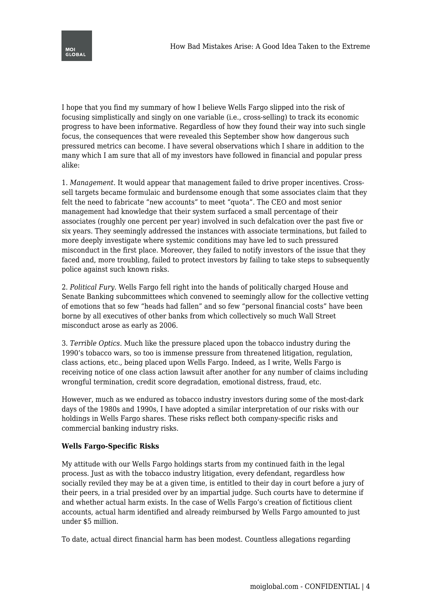

I hope that you find my summary of how I believe Wells Fargo slipped into the risk of focusing simplistically and singly on one variable (i.e., cross-selling) to track its economic progress to have been informative. Regardless of how they found their way into such single focus, the consequences that were revealed this September show how dangerous such pressured metrics can become. I have several observations which I share in addition to the many which I am sure that all of my investors have followed in financial and popular press alike:

1. *Management.* It would appear that management failed to drive proper incentives. Crosssell targets became formulaic and burdensome enough that some associates claim that they felt the need to fabricate "new accounts" to meet "quota". The CEO and most senior management had knowledge that their system surfaced a small percentage of their associates (roughly one percent per year) involved in such defalcation over the past five or six years. They seemingly addressed the instances with associate terminations, but failed to more deeply investigate where systemic conditions may have led to such pressured misconduct in the first place. Moreover, they failed to notify investors of the issue that they faced and, more troubling, failed to protect investors by failing to take steps to subsequently police against such known risks.

2. *Political Fury.* Wells Fargo fell right into the hands of politically charged House and Senate Banking subcommittees which convened to seemingly allow for the collective vetting of emotions that so few "heads had fallen" and so few "personal financial costs" have been borne by all executives of other banks from which collectively so much Wall Street misconduct arose as early as 2006.

3. *Terrible Optics.* Much like the pressure placed upon the tobacco industry during the 1990's tobacco wars, so too is immense pressure from threatened litigation, regulation, class actions, etc., being placed upon Wells Fargo. Indeed, as I write, Wells Fargo is receiving notice of one class action lawsuit after another for any number of claims including wrongful termination, credit score degradation, emotional distress, fraud, etc.

However, much as we endured as tobacco industry investors during some of the most-dark days of the 1980s and 1990s, I have adopted a similar interpretation of our risks with our holdings in Wells Fargo shares. These risks reflect both company-specific risks and commercial banking industry risks.

## **Wells Fargo-Specific Risks**

My attitude with our Wells Fargo holdings starts from my continued faith in the legal process. Just as with the tobacco industry litigation, every defendant, regardless how socially reviled they may be at a given time, is entitled to their day in court before a jury of their peers, in a trial presided over by an impartial judge. Such courts have to determine if and whether actual harm exists. In the case of Wells Fargo's creation of fictitious client accounts, actual harm identified and already reimbursed by Wells Fargo amounted to just under \$5 million.

To date, actual direct financial harm has been modest. Countless allegations regarding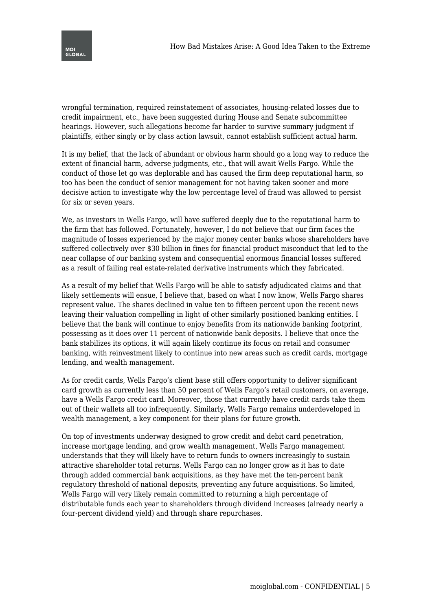



wrongful termination, required reinstatement of associates, housing-related losses due to credit impairment, etc., have been suggested during House and Senate subcommittee hearings. However, such allegations become far harder to survive summary judgment if plaintiffs, either singly or by class action lawsuit, cannot establish sufficient actual harm.

It is my belief, that the lack of abundant or obvious harm should go a long way to reduce the extent of financial harm, adverse judgments, etc., that will await Wells Fargo. While the conduct of those let go was deplorable and has caused the firm deep reputational harm, so too has been the conduct of senior management for not having taken sooner and more decisive action to investigate why the low percentage level of fraud was allowed to persist for six or seven years.

We, as investors in Wells Fargo, will have suffered deeply due to the reputational harm to the firm that has followed. Fortunately, however, I do not believe that our firm faces the magnitude of losses experienced by the major money center banks whose shareholders have suffered collectively over \$30 billion in fines for financial product misconduct that led to the near collapse of our banking system and consequential enormous financial losses suffered as a result of failing real estate-related derivative instruments which they fabricated.

As a result of my belief that Wells Fargo will be able to satisfy adjudicated claims and that likely settlements will ensue, I believe that, based on what I now know, Wells Fargo shares represent value. The shares declined in value ten to fifteen percent upon the recent news leaving their valuation compelling in light of other similarly positioned banking entities. I believe that the bank will continue to enjoy benefits from its nationwide banking footprint, possessing as it does over 11 percent of nationwide bank deposits. I believe that once the bank stabilizes its options, it will again likely continue its focus on retail and consumer banking, with reinvestment likely to continue into new areas such as credit cards, mortgage lending, and wealth management.

As for credit cards, Wells Fargo's client base still offers opportunity to deliver significant card growth as currently less than 50 percent of Wells Fargo's retail customers, on average, have a Wells Fargo credit card. Moreover, those that currently have credit cards take them out of their wallets all too infrequently. Similarly, Wells Fargo remains underdeveloped in wealth management, a key component for their plans for future growth.

On top of investments underway designed to grow credit and debit card penetration, increase mortgage lending, and grow wealth management, Wells Fargo management understands that they will likely have to return funds to owners increasingly to sustain attractive shareholder total returns. Wells Fargo can no longer grow as it has to date through added commercial bank acquisitions, as they have met the ten-percent bank regulatory threshold of national deposits, preventing any future acquisitions. So limited, Wells Fargo will very likely remain committed to returning a high percentage of distributable funds each year to shareholders through dividend increases (already nearly a four-percent dividend yield) and through share repurchases.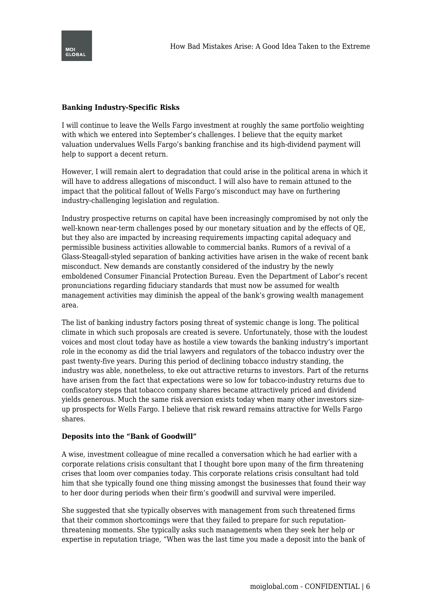

# **Banking Industry-Specific Risks**

I will continue to leave the Wells Fargo investment at roughly the same portfolio weighting with which we entered into September's challenges. I believe that the equity market valuation undervalues Wells Fargo's banking franchise and its high-dividend payment will help to support a decent return.

However, I will remain alert to degradation that could arise in the political arena in which it will have to address allegations of misconduct. I will also have to remain attuned to the impact that the political fallout of Wells Fargo's misconduct may have on furthering industry-challenging legislation and regulation.

Industry prospective returns on capital have been increasingly compromised by not only the well-known near-term challenges posed by our monetary situation and by the effects of QE, but they also are impacted by increasing requirements impacting capital adequacy and permissible business activities allowable to commercial banks. Rumors of a revival of a Glass-Steagall-styled separation of banking activities have arisen in the wake of recent bank misconduct. New demands are constantly considered of the industry by the newly emboldened Consumer Financial Protection Bureau. Even the Department of Labor's recent pronunciations regarding fiduciary standards that must now be assumed for wealth management activities may diminish the appeal of the bank's growing wealth management area.

The list of banking industry factors posing threat of systemic change is long. The political climate in which such proposals are created is severe. Unfortunately, those with the loudest voices and most clout today have as hostile a view towards the banking industry's important role in the economy as did the trial lawyers and regulators of the tobacco industry over the past twenty-five years. During this period of declining tobacco industry standing, the industry was able, nonetheless, to eke out attractive returns to investors. Part of the returns have arisen from the fact that expectations were so low for tobacco-industry returns due to confiscatory steps that tobacco company shares became attractively priced and dividend yields generous. Much the same risk aversion exists today when many other investors sizeup prospects for Wells Fargo. I believe that risk reward remains attractive for Wells Fargo shares.

## **Deposits into the "Bank of Goodwill"**

A wise, investment colleague of mine recalled a conversation which he had earlier with a corporate relations crisis consultant that I thought bore upon many of the firm threatening crises that loom over companies today. This corporate relations crisis consultant had told him that she typically found one thing missing amongst the businesses that found their way to her door during periods when their firm's goodwill and survival were imperiled.

She suggested that she typically observes with management from such threatened firms that their common shortcomings were that they failed to prepare for such reputationthreatening moments. She typically asks such managements when they seek her help or expertise in reputation triage, "When was the last time you made a deposit into the bank of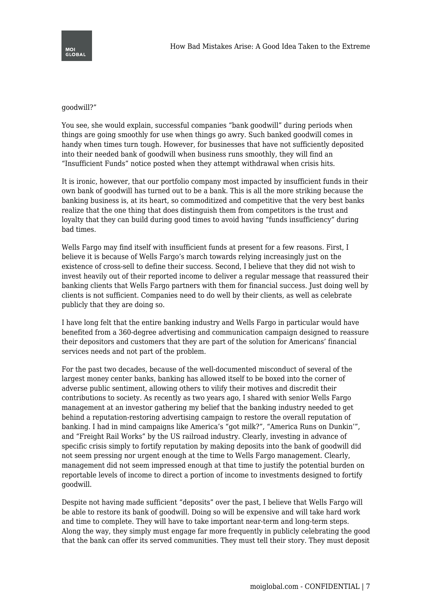#### goodwill?"

You see, she would explain, successful companies "bank goodwill" during periods when things are going smoothly for use when things go awry. Such banked goodwill comes in handy when times turn tough. However, for businesses that have not sufficiently deposited into their needed bank of goodwill when business runs smoothly, they will find an "Insufficient Funds" notice posted when they attempt withdrawal when crisis hits.

It is ironic, however, that our portfolio company most impacted by insufficient funds in their own bank of goodwill has turned out to be a bank. This is all the more striking because the banking business is, at its heart, so commoditized and competitive that the very best banks realize that the one thing that does distinguish them from competitors is the trust and loyalty that they can build during good times to avoid having "funds insufficiency" during bad times.

Wells Fargo may find itself with insufficient funds at present for a few reasons. First, I believe it is because of Wells Fargo's march towards relying increasingly just on the existence of cross-sell to define their success. Second, I believe that they did not wish to invest heavily out of their reported income to deliver a regular message that reassured their banking clients that Wells Fargo partners with them for financial success. Just doing well by clients is not sufficient. Companies need to do well by their clients, as well as celebrate publicly that they are doing so.

I have long felt that the entire banking industry and Wells Fargo in particular would have benefited from a 360-degree advertising and communication campaign designed to reassure their depositors and customers that they are part of the solution for Americans' financial services needs and not part of the problem.

For the past two decades, because of the well-documented misconduct of several of the largest money center banks, banking has allowed itself to be boxed into the corner of adverse public sentiment, allowing others to vilify their motives and discredit their contributions to society. As recently as two years ago, I shared with senior Wells Fargo management at an investor gathering my belief that the banking industry needed to get behind a reputation-restoring advertising campaign to restore the overall reputation of banking. I had in mind campaigns like America's "got milk?", "America Runs on Dunkin'", and "Freight Rail Works" by the US railroad industry. Clearly, investing in advance of specific crisis simply to fortify reputation by making deposits into the bank of goodwill did not seem pressing nor urgent enough at the time to Wells Fargo management. Clearly, management did not seem impressed enough at that time to justify the potential burden on reportable levels of income to direct a portion of income to investments designed to fortify goodwill.

Despite not having made sufficient "deposits" over the past, I believe that Wells Fargo will be able to restore its bank of goodwill. Doing so will be expensive and will take hard work and time to complete. They will have to take important near-term and long-term steps. Along the way, they simply must engage far more frequently in publicly celebrating the good that the bank can offer its served communities. They must tell their story. They must deposit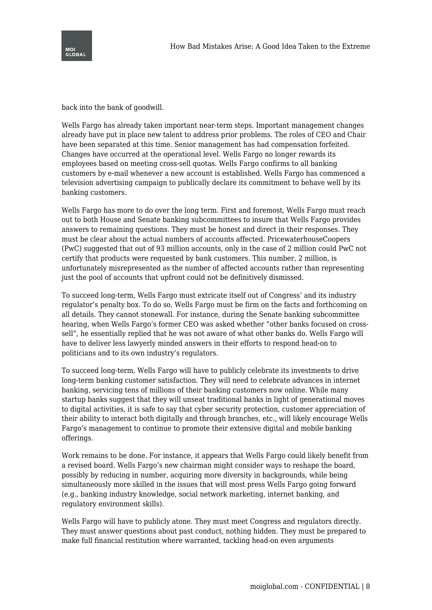

back into the bank of goodwill.

Wells Fargo has already taken important near-term steps. Important management changes already have put in place new talent to address prior problems. The roles of CEO and Chair have been separated at this time. Senior management has had compensation forfeited. Changes have occurred at the operational level. Wells Fargo no longer rewards its employees based on meeting cross-sell quotas. Wells Fargo confirms to all banking customers by e-mail whenever a new account is established. Wells Fargo has commenced a television advertising campaign to publically declare its commitment to behave well by its banking customers.

Wells Fargo has more to do over the long term. First and foremost, Wells Fargo must reach out to both House and Senate banking subcommittees to insure that Wells Fargo provides answers to remaining questions. They must be honest and direct in their responses. They must be clear about the actual numbers of accounts affected. PricewaterhouseCoopers (PwC) suggested that out of 93 million accounts, only in the case of 2 million could PwC not certify that products were requested by bank customers. This number, 2 million, is unfortunately misrepresented as the number of affected accounts rather than representing just the pool of accounts that upfront could not be definitively dismissed.

To succeed long-term, Wells Fargo must extricate itself out of Congress' and its industry regulator's penalty box. To do so, Wells Fargo must be firm on the facts and forthcoming on all details. They cannot stonewall. For instance, during the Senate banking subcommittee hearing, when Wells Fargo's former CEO was asked whether "other banks focused on crosssell", he essentially replied that he was not aware of what other banks do. Wells Fargo will have to deliver less lawyerly minded answers in their efforts to respond head-on to politicians and to its own industry's regulators.

To succeed long-term, Wells Fargo will have to publicly celebrate its investments to drive long-term banking customer satisfaction. They will need to celebrate advances in internet banking, servicing tens of millions of their banking customers now online. While many startup banks suggest that they will unseat traditional banks in light of generational moves to digital activities, it is safe to say that cyber security protection, customer appreciation of their ability to interact both digitally and through branches, etc., will likely encourage Wells Fargo's management to continue to promote their extensive digital and mobile banking offerings.

Work remains to be done. For instance, it appears that Wells Fargo could likely benefit from a revised board. Wells Fargo's new chairman might consider ways to reshape the board, possibly by reducing in number, acquiring more diversity in backgrounds, while being simultaneously more skilled in the issues that will most press Wells Fargo going forward (e.g., banking industry knowledge, social network marketing, internet banking, and regulatory environment skills).

Wells Fargo will have to publicly atone. They must meet Congress and regulators directly. They must answer questions about past conduct, nothing hidden. They must be prepared to make full financial restitution where warranted, tackling head-on even arguments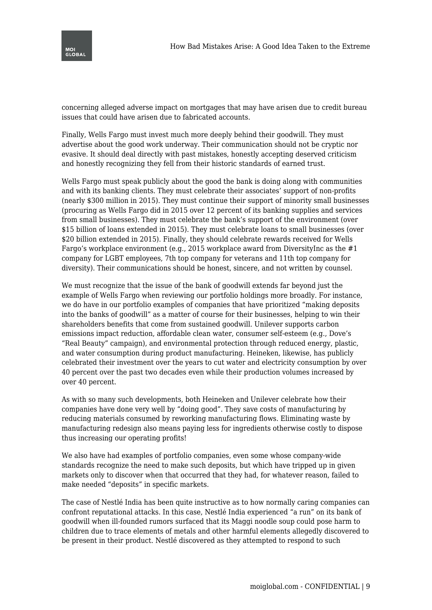

concerning alleged adverse impact on mortgages that may have arisen due to credit bureau issues that could have arisen due to fabricated accounts.

Finally, Wells Fargo must invest much more deeply behind their goodwill. They must advertise about the good work underway. Their communication should not be cryptic nor evasive. It should deal directly with past mistakes, honestly accepting deserved criticism and honestly recognizing they fell from their historic standards of earned trust.

Wells Fargo must speak publicly about the good the bank is doing along with communities and with its banking clients. They must celebrate their associates' support of non-profits (nearly \$300 million in 2015). They must continue their support of minority small businesses (procuring as Wells Fargo did in 2015 over 12 percent of its banking supplies and services from small businesses). They must celebrate the bank's support of the environment (over \$15 billion of loans extended in 2015). They must celebrate loans to small businesses (over \$20 billion extended in 2015). Finally, they should celebrate rewards received for Wells Fargo's workplace environment (e.g., 2015 workplace award from DiversityInc as the #1 company for LGBT employees, 7th top company for veterans and 11th top company for diversity). Their communications should be honest, sincere, and not written by counsel.

We must recognize that the issue of the bank of goodwill extends far beyond just the example of Wells Fargo when reviewing our portfolio holdings more broadly. For instance, we do have in our portfolio examples of companies that have prioritized "making deposits into the banks of goodwill" as a matter of course for their businesses, helping to win their shareholders benefits that come from sustained goodwill. Unilever supports carbon emissions impact reduction, affordable clean water, consumer self-esteem (e.g., Dove's "Real Beauty" campaign), and environmental protection through reduced energy, plastic, and water consumption during product manufacturing. Heineken, likewise, has publicly celebrated their investment over the years to cut water and electricity consumption by over 40 percent over the past two decades even while their production volumes increased by over 40 percent.

As with so many such developments, both Heineken and Unilever celebrate how their companies have done very well by "doing good". They save costs of manufacturing by reducing materials consumed by reworking manufacturing flows. Eliminating waste by manufacturing redesign also means paying less for ingredients otherwise costly to dispose thus increasing our operating profits!

We also have had examples of portfolio companies, even some whose company-wide standards recognize the need to make such deposits, but which have tripped up in given markets only to discover when that occurred that they had, for whatever reason, failed to make needed "deposits" in specific markets.

The case of Nestlé India has been quite instructive as to how normally caring companies can confront reputational attacks. In this case, Nestlé India experienced "a run" on its bank of goodwill when ill-founded rumors surfaced that its Maggi noodle soup could pose harm to children due to trace elements of metals and other harmful elements allegedly discovered to be present in their product. Nestlé discovered as they attempted to respond to such